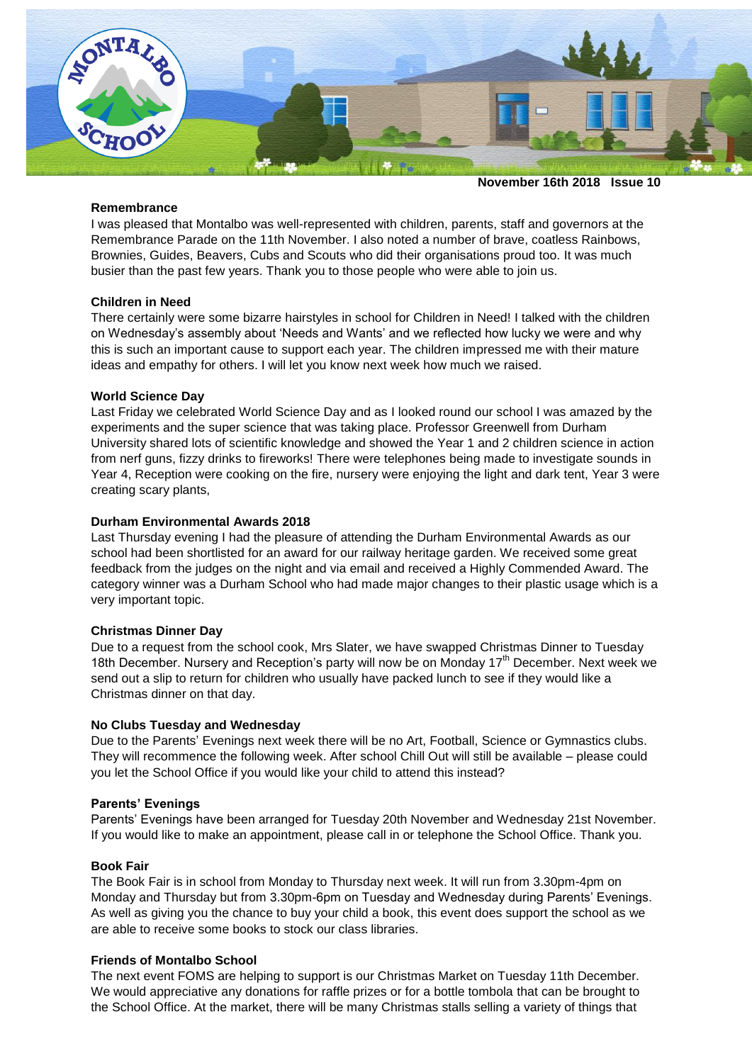

**November 16th 2018 Issue 10**

#### **Remembrance**

I was pleased that Montalbo was well-represented with children, parents, staff and governors at the Remembrance Parade on the 11th November. I also noted a number of brave, coatless Rainbows, Brownies, Guides, Beavers, Cubs and Scouts who did their organisations proud too. It was much busier than the past few years. Thank you to those people who were able to join us.

### **Children in Need**

There certainly were some bizarre hairstyles in school for Children in Need! I talked with the children on Wednesday's assembly about 'Needs and Wants' and we reflected how lucky we were and why this is such an important cause to support each year. The children impressed me with their mature ideas and empathy for others. I will let you know next week how much we raised.

### **World Science Day**

Last Friday we celebrated World Science Day and as I looked round our school I was amazed by the experiments and the super science that was taking place. Professor Greenwell from Durham University shared lots of scientific knowledge and showed the Year 1 and 2 children science in action from nerf guns, fizzy drinks to fireworks! There were telephones being made to investigate sounds in Year 4, Reception were cooking on the fire, nursery were enjoying the light and dark tent, Year 3 were creating scary plants,

### **Durham Environmental Awards 2018**

Last Thursday evening I had the pleasure of attending the Durham Environmental Awards as our school had been shortlisted for an award for our railway heritage garden. We received some great feedback from the judges on the night and via email and received a Highly Commended Award. The category winner was a Durham School who had made major changes to their plastic usage which is a very important topic.

# **Christmas Dinner Day**

Due to a request from the school cook, Mrs Slater, we have swapped Christmas Dinner to Tuesday 18th December. Nursery and Reception's party will now be on Monday  $17<sup>th</sup>$  December. Next week we send out a slip to return for children who usually have packed lunch to see if they would like a Christmas dinner on that day.

# **No Clubs Tuesday and Wednesday**

Due to the Parents' Evenings next week there will be no Art, Football, Science or Gymnastics clubs. They will recommence the following week. After school Chill Out will still be available – please could you let the School Office if you would like your child to attend this instead?

#### **Parents' Evenings**

Parents' Evenings have been arranged for Tuesday 20th November and Wednesday 21st November. If you would like to make an appointment, please call in or telephone the School Office. Thank you.

# **Book Fair**

The Book Fair is in school from Monday to Thursday next week. It will run from 3.30pm-4pm on Monday and Thursday but from 3.30pm-6pm on Tuesday and Wednesday during Parents' Evenings. As well as giving you the chance to buy your child a book, this event does support the school as we are able to receive some books to stock our class libraries.

# **Friends of Montalbo School**

The next event FOMS are helping to support is our Christmas Market on Tuesday 11th December. We would appreciative any donations for raffle prizes or for a bottle tombola that can be brought to the School Office. At the market, there will be many Christmas stalls selling a variety of things that